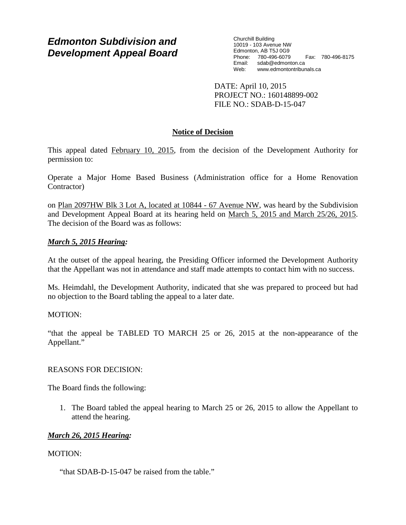# *Edmonton Subdivision and Development Appeal Board*

Churchill Building 10019 - 103 Avenue NW Edmonton, AB T5J 0G9 Phone: 780-496-6079 Fax: 780-496-8175 Email: sdab@edmonton.ca<br>Web: www.edmontontribur www.edmontontribunals.ca

DATE: April 10, 2015 PROJECT NO.: 160148899-002 FILE NO.: SDAB-D-15-047

# **Notice of Decision**

This appeal dated February 10, 2015, from the decision of the Development Authority for permission to:

Operate a Major Home Based Business (Administration office for a Home Renovation Contractor)

on Plan 2097HW Blk 3 Lot A, located at 10844 - 67 Avenue NW, was heard by the Subdivision and Development Appeal Board at its hearing held on March 5, 2015 and March 25/26, 2015. The decision of the Board was as follows:

# *March 5, 2015 Hearing:*

At the outset of the appeal hearing, the Presiding Officer informed the Development Authority that the Appellant was not in attendance and staff made attempts to contact him with no success.

Ms. Heimdahl, the Development Authority, indicated that she was prepared to proceed but had no objection to the Board tabling the appeal to a later date.

## MOTION:

"that the appeal be TABLED TO MARCH 25 or 26, 2015 at the non-appearance of the Appellant."

## REASONS FOR DECISION:

The Board finds the following:

1. The Board tabled the appeal hearing to March 25 or 26, 2015 to allow the Appellant to attend the hearing.

## *March 26, 2015 Hearing:*

## MOTION:

"that SDAB-D-15-047 be raised from the table."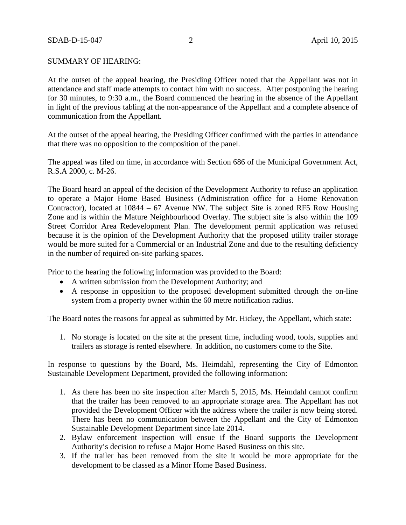#### SUMMARY OF HEARING:

At the outset of the appeal hearing, the Presiding Officer noted that the Appellant was not in attendance and staff made attempts to contact him with no success. After postponing the hearing for 30 minutes, to 9:30 a.m., the Board commenced the hearing in the absence of the Appellant in light of the previous tabling at the non-appearance of the Appellant and a complete absence of communication from the Appellant.

At the outset of the appeal hearing, the Presiding Officer confirmed with the parties in attendance that there was no opposition to the composition of the panel.

The appeal was filed on time, in accordance with Section 686 of the Municipal Government Act, R.S.A 2000, c. M-26.

The Board heard an appeal of the decision of the Development Authority to refuse an application to operate a Major Home Based Business (Administration office for a Home Renovation Contractor), located at 10844 – 67 Avenue NW. The subject Site is zoned RF5 Row Housing Zone and is within the Mature Neighbourhood Overlay. The subject site is also within the 109 Street Corridor Area Redevelopment Plan. The development permit application was refused because it is the opinion of the Development Authority that the proposed utility trailer storage would be more suited for a Commercial or an Industrial Zone and due to the resulting deficiency in the number of required on-site parking spaces.

Prior to the hearing the following information was provided to the Board:

- A written submission from the Development Authority; and
- A response in opposition to the proposed development submitted through the on-line system from a property owner within the 60 metre notification radius.

The Board notes the reasons for appeal as submitted by Mr. Hickey, the Appellant, which state:

1. No storage is located on the site at the present time, including wood, tools, supplies and trailers as storage is rented elsewhere. In addition, no customers come to the Site.

In response to questions by the Board, Ms. Heimdahl, representing the City of Edmonton Sustainable Development Department, provided the following information:

- 1. As there has been no site inspection after March 5, 2015, Ms. Heimdahl cannot confirm that the trailer has been removed to an appropriate storage area. The Appellant has not provided the Development Officer with the address where the trailer is now being stored. There has been no communication between the Appellant and the City of Edmonton Sustainable Development Department since late 2014.
- 2. Bylaw enforcement inspection will ensue if the Board supports the Development Authority's decision to refuse a Major Home Based Business on this site.
- 3. If the trailer has been removed from the site it would be more appropriate for the development to be classed as a Minor Home Based Business.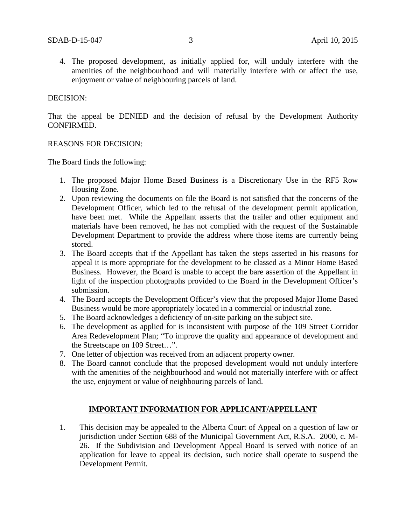4. The proposed development, as initially applied for, will unduly interfere with the amenities of the neighbourhood and will materially interfere with or affect the use, enjoyment or value of neighbouring parcels of land.

#### DECISION:

That the appeal be DENIED and the decision of refusal by the Development Authority CONFIRMED.

#### REASONS FOR DECISION:

The Board finds the following:

- 1. The proposed Major Home Based Business is a Discretionary Use in the RF5 Row Housing Zone.
- 2. Upon reviewing the documents on file the Board is not satisfied that the concerns of the Development Officer, which led to the refusal of the development permit application, have been met. While the Appellant asserts that the trailer and other equipment and materials have been removed, he has not complied with the request of the Sustainable Development Department to provide the address where those items are currently being stored.
- 3. The Board accepts that if the Appellant has taken the steps asserted in his reasons for appeal it is more appropriate for the development to be classed as a Minor Home Based Business. However, the Board is unable to accept the bare assertion of the Appellant in light of the inspection photographs provided to the Board in the Development Officer's submission.
- 4. The Board accepts the Development Officer's view that the proposed Major Home Based Business would be more appropriately located in a commercial or industrial zone.
- 5. The Board acknowledges a deficiency of on-site parking on the subject site.
- 6. The development as applied for is inconsistent with purpose of the 109 Street Corridor Area Redevelopment Plan; "To improve the quality and appearance of development and the Streetscape on 109 Street…".
- 7. One letter of objection was received from an adjacent property owner.
- 8. The Board cannot conclude that the proposed development would not unduly interfere with the amenities of the neighbourhood and would not materially interfere with or affect the use, enjoyment or value of neighbouring parcels of land.

#### **IMPORTANT INFORMATION FOR APPLICANT/APPELLANT**

1. This decision may be appealed to the Alberta Court of Appeal on a question of law or jurisdiction under Section 688 of the Municipal Government Act, R.S.A. 2000, c. M-26. If the Subdivision and Development Appeal Board is served with notice of an application for leave to appeal its decision, such notice shall operate to suspend the Development Permit.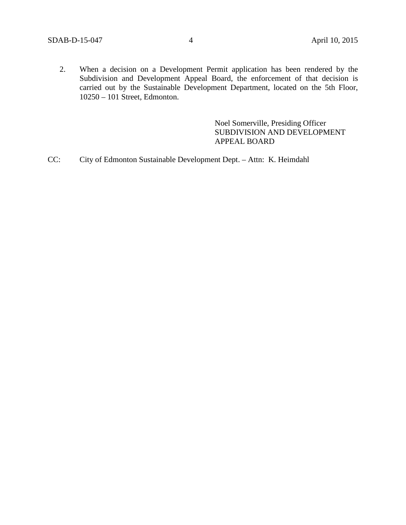2. When a decision on a Development Permit application has been rendered by the Subdivision and Development Appeal Board, the enforcement of that decision is carried out by the Sustainable Development Department, located on the 5th Floor, 10250 – 101 Street, Edmonton.

> Noel Somerville, Presiding Officer SUBDIVISION AND DEVELOPMENT APPEAL BOARD

CC: City of Edmonton Sustainable Development Dept. – Attn: K. Heimdahl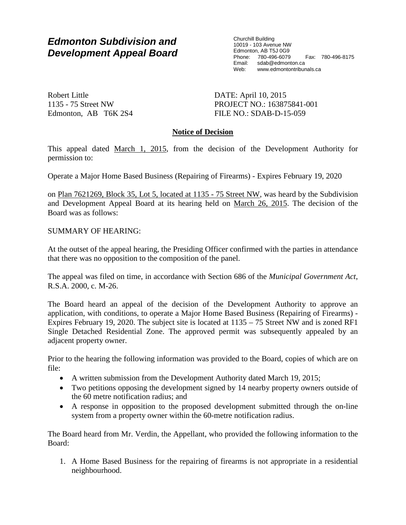# *Edmonton Subdivision and Development Appeal Board*

Churchill Building 10019 - 103 Avenue NW Edmonton, AB T5J 0G9 Phone: 780-496-6079 Fax: 780-496-8175 Email: sdab@edmonton.ca<br>Web: www.edmontontribur www.edmontontribunals.ca

Robert Little 1135 - 75 Street NW Edmonton, AB T6K 2S4 DATE: April 10, 2015 PROJECT NO.: 163875841-001 FILE NO.: SDAB-D-15-059

# **Notice of Decision**

This appeal dated March 1, 2015, from the decision of the Development Authority for permission to:

Operate a Major Home Based Business (Repairing of Firearms) - Expires February 19, 2020

on Plan 7621269, Block 35, Lot 5, located at 1135 - 75 Street NW, was heard by the Subdivision and Development Appeal Board at its hearing held on March 26, 2015. The decision of the Board was as follows:

SUMMARY OF HEARING:

At the outset of the appeal hearing, the Presiding Officer confirmed with the parties in attendance that there was no opposition to the composition of the panel.

The appeal was filed on time, in accordance with Section 686 of the *Municipal Government Act*, R.S.A. 2000, c. M-26.

The Board heard an appeal of the decision of the Development Authority to approve an application, with conditions, to operate a Major Home Based Business (Repairing of Firearms) - Expires February 19, 2020. The subject site is located at 1135 – 75 Street NW and is zoned RF1 Single Detached Residential Zone. The approved permit was subsequently appealed by an adjacent property owner.

Prior to the hearing the following information was provided to the Board, copies of which are on file:

- A written submission from the Development Authority dated March 19, 2015;
- Two petitions opposing the development signed by 14 nearby property owners outside of the 60 metre notification radius; and
- A response in opposition to the proposed development submitted through the on-line system from a property owner within the 60-metre notification radius.

The Board heard from Mr. Verdin, the Appellant, who provided the following information to the Board:

1. A Home Based Business for the repairing of firearms is not appropriate in a residential neighbourhood.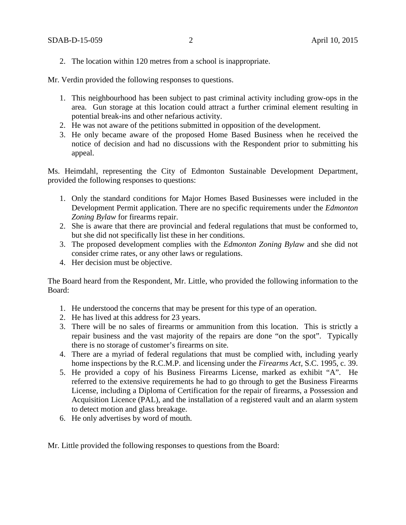2. The location within 120 metres from a school is inappropriate.

Mr. Verdin provided the following responses to questions.

- 1. This neighbourhood has been subject to past criminal activity including grow-ops in the area. Gun storage at this location could attract a further criminal element resulting in potential break-ins and other nefarious activity.
- 2. He was not aware of the petitions submitted in opposition of the development.
- 3. He only became aware of the proposed Home Based Business when he received the notice of decision and had no discussions with the Respondent prior to submitting his appeal.

Ms. Heimdahl, representing the City of Edmonton Sustainable Development Department, provided the following responses to questions:

- 1. Only the standard conditions for Major Homes Based Businesses were included in the Development Permit application. There are no specific requirements under the *Edmonton Zoning Bylaw* for firearms repair.
- 2. She is aware that there are provincial and federal regulations that must be conformed to, but she did not specifically list these in her conditions.
- 3. The proposed development complies with the *Edmonton Zoning Bylaw* and she did not consider crime rates, or any other laws or regulations.
- 4. Her decision must be objective.

The Board heard from the Respondent, Mr. Little, who provided the following information to the Board:

- 1. He understood the concerns that may be present for this type of an operation.
- 2. He has lived at this address for 23 years.
- 3. There will be no sales of firearms or ammunition from this location. This is strictly a repair business and the vast majority of the repairs are done "on the spot". Typically there is no storage of customer's firearms on site.
- 4. There are a myriad of federal regulations that must be complied with, including yearly home inspections by the R.C.M.P. and licensing under the *Firearms Act*, S.C. 1995, c. 39.
- 5. He provided a copy of his Business Firearms License, marked as exhibit "A". He referred to the extensive requirements he had to go through to get the Business Firearms License, including a Diploma of Certification for the repair of firearms, a Possession and Acquisition Licence (PAL), and the installation of a registered vault and an alarm system to detect motion and glass breakage.
- 6. He only advertises by word of mouth.

Mr. Little provided the following responses to questions from the Board: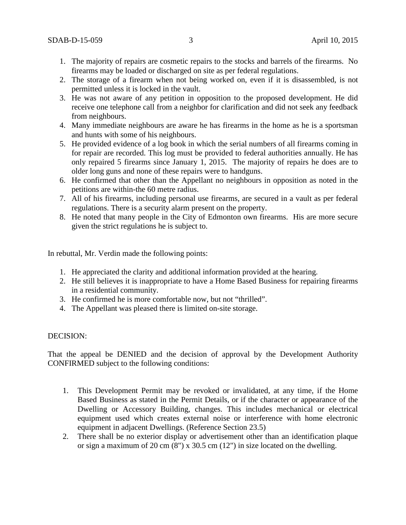- 1. The majority of repairs are cosmetic repairs to the stocks and barrels of the firearms. No firearms may be loaded or discharged on site as per federal regulations.
- 2. The storage of a firearm when not being worked on, even if it is disassembled, is not permitted unless it is locked in the vault.
- 3. He was not aware of any petition in opposition to the proposed development. He did receive one telephone call from a neighbor for clarification and did not seek any feedback from neighbours.
- 4. Many immediate neighbours are aware he has firearms in the home as he is a sportsman and hunts with some of his neighbours.
- 5. He provided evidence of a log book in which the serial numbers of all firearms coming in for repair are recorded. This log must be provided to federal authorities annually. He has only repaired 5 firearms since January 1, 2015. The majority of repairs he does are to older long guns and none of these repairs were to handguns.
- 6. He confirmed that other than the Appellant no neighbours in opposition as noted in the petitions are within-the 60 metre radius.
- 7. All of his firearms, including personal use firearms, are secured in a vault as per federal regulations. There is a security alarm present on the property.
- 8. He noted that many people in the City of Edmonton own firearms. His are more secure given the strict regulations he is subject to.

In rebuttal, Mr. Verdin made the following points:

- 1. He appreciated the clarity and additional information provided at the hearing.
- 2. He still believes it is inappropriate to have a Home Based Business for repairing firearms in a residential community.
- 3. He confirmed he is more comfortable now, but not "thrilled".
- 4. The Appellant was pleased there is limited on-site storage.

#### DECISION:

That the appeal be DENIED and the decision of approval by the Development Authority CONFIRMED subject to the following conditions:

- 1. This Development Permit may be revoked or invalidated, at any time, if the Home Based Business as stated in the Permit Details, or if the character or appearance of the Dwelling or Accessory Building, changes. This includes mechanical or electrical equipment used which creates external noise or interference with home electronic equipment in adjacent Dwellings. (Reference Section 23.5)
- 2. There shall be no exterior display or advertisement other than an identification plaque or sign a maximum of 20 cm (8") x 30.5 cm (12") in size located on the dwelling.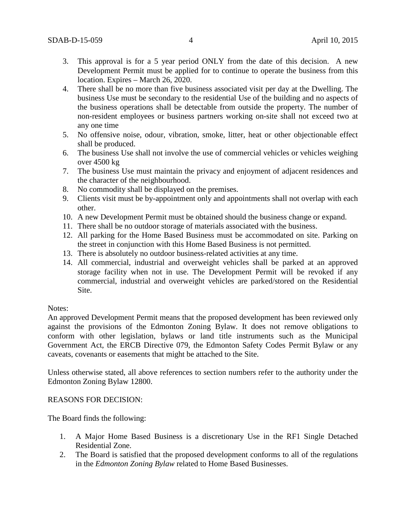- 3. This approval is for a 5 year period ONLY from the date of this decision. A new Development Permit must be applied for to continue to operate the business from this location. Expires – March 26, 2020.
- 4. There shall be no more than five business associated visit per day at the Dwelling. The business Use must be secondary to the residential Use of the building and no aspects of the business operations shall be detectable from outside the property. The number of non-resident employees or business partners working on-site shall not exceed two at any one time
- 5. No offensive noise, odour, vibration, smoke, litter, heat or other objectionable effect shall be produced.
- 6. The business Use shall not involve the use of commercial vehicles or vehicles weighing over 4500 kg
- 7. The business Use must maintain the privacy and enjoyment of adjacent residences and the character of the neighbourhood.
- 8. No commodity shall be displayed on the premises.
- 9. Clients visit must be by-appointment only and appointments shall not overlap with each other.
- 10. A new Development Permit must be obtained should the business change or expand.
- 11. There shall be no outdoor storage of materials associated with the business.
- 12. All parking for the Home Based Business must be accommodated on site. Parking on the street in conjunction with this Home Based Business is not permitted.
- 13. There is absolutely no outdoor business-related activities at any time.
- 14. All commercial, industrial and overweight vehicles shall be parked at an approved storage facility when not in use. The Development Permit will be revoked if any commercial, industrial and overweight vehicles are parked/stored on the Residential Site.

## Notes:

An approved Development Permit means that the proposed development has been reviewed only against the provisions of the Edmonton Zoning Bylaw. It does not remove obligations to conform with other legislation, bylaws or land title instruments such as the Municipal Government Act, the ERCB Directive 079, the Edmonton Safety Codes Permit Bylaw or any caveats, covenants or easements that might be attached to the Site.

Unless otherwise stated, all above references to section numbers refer to the authority under the Edmonton Zoning Bylaw 12800.

## REASONS FOR DECISION:

The Board finds the following:

- 1. A Major Home Based Business is a discretionary Use in the RF1 Single Detached Residential Zone.
- 2. The Board is satisfied that the proposed development conforms to all of the regulations in the *Edmonton Zoning Bylaw* related to Home Based Businesses.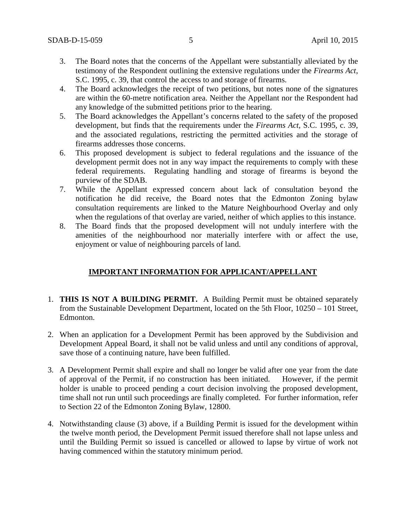- 3. The Board notes that the concerns of the Appellant were substantially alleviated by the testimony of the Respondent outlining the extensive regulations under the *Firearms Act*, S.C. 1995, c. 39, that control the access to and storage of firearms.
- 4. The Board acknowledges the receipt of two petitions, but notes none of the signatures are within the 60-metre notification area. Neither the Appellant nor the Respondent had any knowledge of the submitted petitions prior to the hearing.
- 5. The Board acknowledges the Appellant's concerns related to the safety of the proposed development, but finds that the requirements under the *Firearms Act*, S.C. 1995, c. 39, and the associated regulations, restricting the permitted activities and the storage of firearms addresses those concerns.
- 6. This proposed development is subject to federal regulations and the issuance of the development permit does not in any way impact the requirements to comply with these federal requirements. Regulating handling and storage of firearms is beyond the purview of the SDAB.
- 7. While the Appellant expressed concern about lack of consultation beyond the notification he did receive, the Board notes that the Edmonton Zoning bylaw consultation requirements are linked to the Mature Neighbourhood Overlay and only when the regulations of that overlay are varied, neither of which applies to this instance.
- 8. The Board finds that the proposed development will not unduly interfere with the amenities of the neighbourhood nor materially interfere with or affect the use, enjoyment or value of neighbouring parcels of land.

# **IMPORTANT INFORMATION FOR APPLICANT/APPELLANT**

- 1. **THIS IS NOT A BUILDING PERMIT.** A Building Permit must be obtained separately from the Sustainable Development Department, located on the 5th Floor, 10250 – 101 Street, Edmonton.
- 2. When an application for a Development Permit has been approved by the Subdivision and Development Appeal Board, it shall not be valid unless and until any conditions of approval, save those of a continuing nature, have been fulfilled.
- 3. A Development Permit shall expire and shall no longer be valid after one year from the date of approval of the Permit, if no construction has been initiated. However, if the permit holder is unable to proceed pending a court decision involving the proposed development, time shall not run until such proceedings are finally completed. For further information, refer to Section 22 of the Edmonton Zoning Bylaw, 12800.
- 4. Notwithstanding clause (3) above, if a Building Permit is issued for the development within the twelve month period, the Development Permit issued therefore shall not lapse unless and until the Building Permit so issued is cancelled or allowed to lapse by virtue of work not having commenced within the statutory minimum period.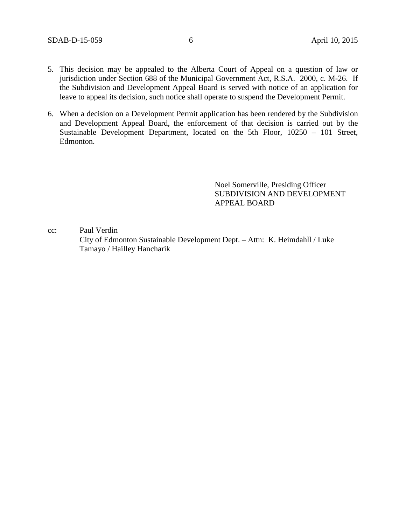- 5. This decision may be appealed to the Alberta Court of Appeal on a question of law or jurisdiction under Section 688 of the Municipal Government Act, R.S.A. 2000, c. M-26. If the Subdivision and Development Appeal Board is served with notice of an application for leave to appeal its decision, such notice shall operate to suspend the Development Permit.
- 6. When a decision on a Development Permit application has been rendered by the Subdivision and Development Appeal Board, the enforcement of that decision is carried out by the Sustainable Development Department, located on the 5th Floor, 10250 – 101 Street, Edmonton.

Noel Somerville, Presiding Officer SUBDIVISION AND DEVELOPMENT APPEAL BOARD

cc: Paul Verdin

 City of Edmonton Sustainable Development Dept. – Attn: K. Heimdahll / Luke Tamayo / Hailley Hancharik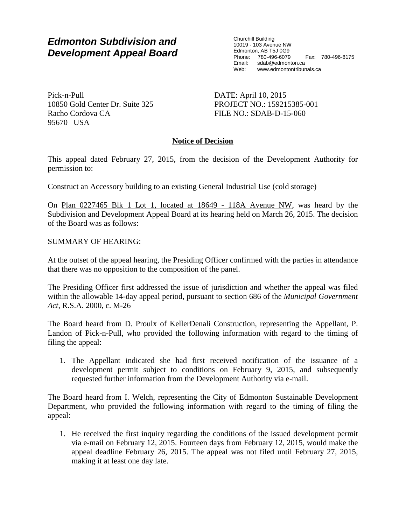# *Edmonton Subdivision and Development Appeal Board*

Churchill Building 10019 - 103 Avenue NW Edmonton, AB T5J 0G9 Phone: 780-496-6079 Fax: 780-496-8175 Email: sdab@edmonton.ca Web: www.edmontontribunals.ca

Pick-n-Pull 10850 Gold Center Dr. Suite 325 Racho Cordova CA 95670 USA

DATE: April 10, 2015 PROJECT NO.: 159215385-001 FILE NO.: SDAB-D-15-060

# **Notice of Decision**

This appeal dated February 27, 2015, from the decision of the Development Authority for permission to:

Construct an Accessory building to an existing General Industrial Use (cold storage)

On Plan 0227465 Blk 1 Lot 1, located at 18649 - 118A Avenue NW, was heard by the Subdivision and Development Appeal Board at its hearing held on March 26, 2015. The decision of the Board was as follows:

SUMMARY OF HEARING:

At the outset of the appeal hearing, the Presiding Officer confirmed with the parties in attendance that there was no opposition to the composition of the panel.

The Presiding Officer first addressed the issue of jurisdiction and whether the appeal was filed within the allowable 14-day appeal period, pursuant to section 686 of the *Municipal Government Act*, R.S.A. 2000, c. M-26

The Board heard from D. Proulx of KellerDenali Construction, representing the Appellant, P. Landon of Pick-n-Pull, who provided the following information with regard to the timing of filing the appeal:

1. The Appellant indicated she had first received notification of the issuance of a development permit subject to conditions on February 9, 2015, and subsequently requested further information from the Development Authority via e-mail.

The Board heard from I. Welch, representing the City of Edmonton Sustainable Development Department, who provided the following information with regard to the timing of filing the appeal:

1. He received the first inquiry regarding the conditions of the issued development permit via e-mail on February 12, 2015. Fourteen days from February 12, 2015, would make the appeal deadline February 26, 2015. The appeal was not filed until February 27, 2015, making it at least one day late.